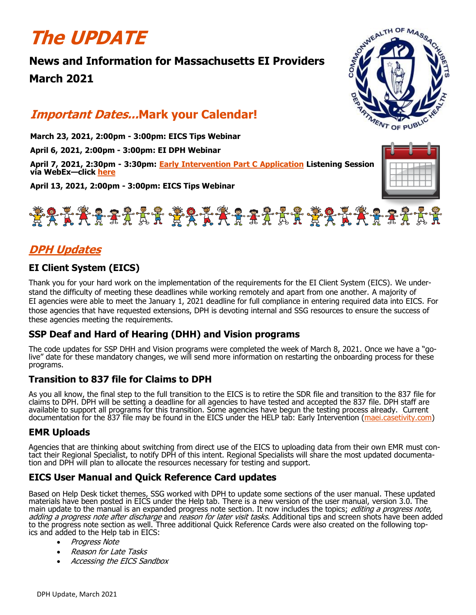# **The UPDATE**

# **News and Information for Massachusetts EI Providers March 2021**



# **Important Dates...Mark your Calendar!**

**March 23, 2021, 2:00pm - 3:00pm: EICS Tips Webinar** 

**April 6, 2021, 2:00pm - 3:00pm: EI DPH Webinar**

**April 7, 2021, 2:30pm - 3:30pm: [Early Intervention Part C Application](https://www.mass.gov/event/early-intervention-listening-session-2021-04-07t143000-0400-2021-04-07t153000-0400) Listening Session via WebEx—click [here](https://statema.webex.com/statema/j.php?MTID=m2ea2542c65e45f9f65722fce3d1b8cc9)**

**April 13, 2021, 2:00pm - 3:00pm: EICS Tips Webinar**



# **DPH Updates**

# **EI Client System (EICS)**

Thank you for your hard work on the implementation of the requirements for the EI Client System (EICS). We understand the difficulty of meeting these deadlines while working remotely and apart from one another. A majority of EI agencies were able to meet the January 1, 2021 deadline for full compliance in entering required data into EICS. For those agencies that have requested extensions, DPH is devoting internal and SSG resources to ensure the success of these agencies meeting the requirements.

## **SSP Deaf and Hard of Hearing (DHH) and Vision programs**

The code updates for SSP DHH and Vision programs were completed the week of March 8, 2021. Once we have a "golive" date for these mandatory changes, we will send more information on restarting the onboarding process for these programs.

## **Transition to 837 file for Claims to DPH**

As you all know, the final step to the full transition to the EICS is to retire the SDR file and transition to the 837 file for claims to DPH. DPH will be setting a deadline for all agencies to have tested and accepted the 837 file. DPH staff are available to support all programs for this transition. Some agencies have begun the testing process already. Current documentation for the 837 file may be found in the EICS under the HELP tab: Early Intervention ([maei.casetivity.com\)](https://maei.casetivity.com)

## **EMR Uploads**

Agencies that are thinking about switching from direct use of the EICS to uploading data from their own EMR must contact their Regional Specialist, to notify DPH of this intent. Regional Specialists will share the most updated documentation and DPH will plan to allocate the resources necessary for testing and support.

# **EICS User Manual and Quick Reference Card updates**

Based on Help Desk ticket themes, SSG worked with DPH to update some sections of the user manual. These updated materials have been posted in EICS under the Help tab. There is a new version of the user manual, version 3.0. The main update to the manual is an expanded progress note section. It now includes the topics; *editing a progress note*, adding a progress note after discharge and reason for later visit tasks. Additional tips and screen shots have been added to the progress note section as well. Three additional Quick Reference Cards were also created on the following topics and added to the Help tab in EICS:

- Progress Note
- Reason for Late Tasks
- Accessing the EICS Sandbox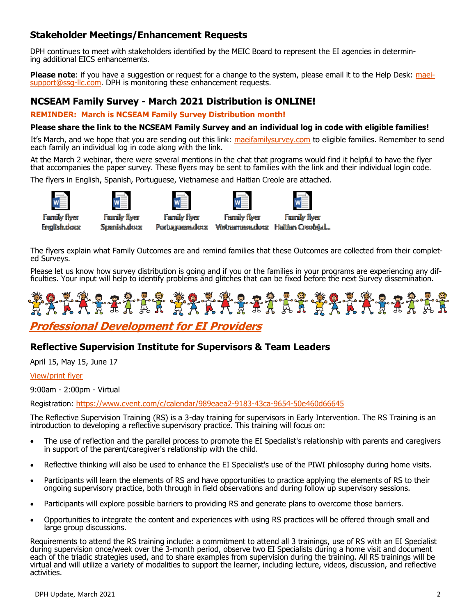# **Stakeholder Meetings/Enhancement Requests**

DPH continues to meet with stakeholders identified by the MEIC Board to represent the EI agencies in determining additional EICS enhancements.

**Please note**: if you have a suggestion or request for a change to the system, please email it to the Help Desk: [maei](mailto:maei-support@ssg-llc.com)[support@ssg](mailto:maei-support@ssg-llc.com)-llc.com. DPH is monitoring these enhancement requests.

#### **NCSEAM Family Survey - March 2021 Distribution is ONLINE!**

**REMINDER: March is NCSEAM Family Survey Distribution month!**

#### **Please share the link to the NCSEAM Family Survey and an individual log in code with eligible families!**

It's March, and we hope that you are sending out this link: [maeifamilysurvey.com](https://maeifamilysurvey.com) to eligible families. Remember to send each family an individual log in code along with the link.

At the March 2 webinar, there were several mentions in the chat that programs would find it helpful to have the flyer that accompanies the paper survey. These flyers may be sent to families with the link and their individual login code.

The flyers in English, Spanish, Portuguese, Vietnamese and Haitian Creole are attached.



**Family flyer** 

**English.docx** 



**Spanish.docx** 

**Family flyer** 



**Family flyer** Portuguese.docx Vietnamese.docx Haitian Creole).d...

The flyers explain what Family Outcomes are and remind families that these Outcomes are collected from their completed Surveys.

Please let us know how survey distribution is going and if you or the families in your programs are experiencing any difficulties. Your input will help to identify problems and glitches that can be fixed before the next Survey dissemination.



# **Professional Development for EI Providers**

## **Reflective Supervision Institute for Supervisors & Team Leaders**

April 15, May 15, June 17

#### [View/print flyer](https://files.constantcontact.com/dafff9ae001/6178e9fb-1f5c-4067-85ae-4d7d7aa74594.pdf)

9:00am - 2:00pm - Virtual

Registration: [https://www.cvent.com/c/calendar/989eaea2](https://www.cvent.com/c/calendar/989eaea2-9183-43ca-9654-50e460d66645)-9183-43ca-9654-50e460d66645

The Reflective Supervision Training (RS) is a 3-day training for supervisors in Early Intervention. The RS Training is an introduction to developing a reflective supervisory practice. This training will focus on:

- The use of reflection and the parallel process to promote the EI Specialist's relationship with parents and caregivers in support of the parent/caregiver's relationship with the child.
- Reflective thinking will also be used to enhance the EI Specialist's use of the PIWI philosophy during home visits.
- Participants will learn the elements of RS and have opportunities to practice applying the elements of RS to their ongoing supervisory practice, both through in field observations and during follow up supervisory sessions.
- Participants will explore possible barriers to providing RS and generate plans to overcome those barriers.
- Opportunities to integrate the content and experiences with using RS practices will be offered through small and large group discussions.

Requirements to attend the RS training include: a commitment to attend all 3 trainings, use of RS with an EI Specialist during supervision once/week over the 3-month period, observe two EI Specialists during a home visit and document each of the triadic strategies used, and to share examples from supervision during the training. All RS trainings will be virtual and will utilize a variety of modalities to support the learner, including lecture, videos, discussion, and reflective activities.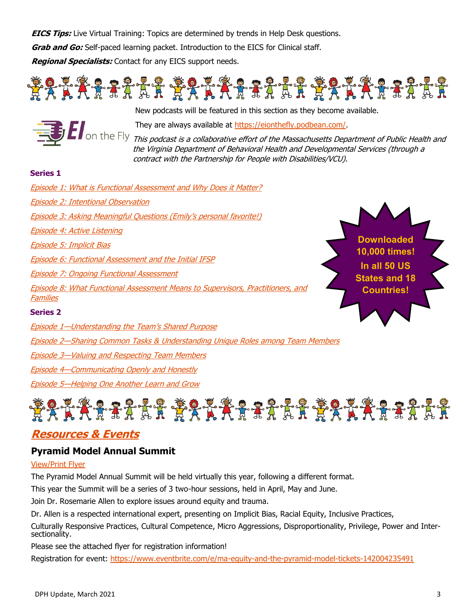**EICS Tips:** Live Virtual Training: Topics are determined by trends in Help Desk questions.

**Grab and Go:** Self-paced learning packet. Introduction to the EICS for Clinical staff.

**Regional Specialists:** Contact for any EICS support needs.





New podcasts will be featured in this section as they become available.

They are always available at [https://eionthefly.podbean.com/.](https://eionthefly.podbean.com/)

This podcast is a collaborative effort of the Massachusetts Department of Public Health and the Virginia Department of Behavioral Health and Developmental Services (through a contract with the Partnership for People with Disabilities/VCU).

#### **Series 1**

| <b>Episode 1: What is Functional Assessment and Why Does it Matter?</b>                                  |                                    |
|----------------------------------------------------------------------------------------------------------|------------------------------------|
| Episode 2: Intentional Observation                                                                       |                                    |
| <b>Episode 3: Asking Meaningful Questions (Emily's personal favorite!)</b>                               |                                    |
| <u> Episode 4: Active Listening</u>                                                                      |                                    |
| <u> Episode 5: Implicit Bias</u>                                                                         | <b>Downloaded</b><br>10,000 times! |
| <b>Episode 6: Functional Assessment and the Initial IFSP</b>                                             | In all 50 US                       |
| <u> Episode 7: Ongoing Functional Assessment</u>                                                         | <b>States and 18</b>               |
| <b>Episode 8: What Functional Assessment Means to Supervisors, Practitioners, and</b><br><b>Families</b> | <b>Countries!</b>                  |
| <b>Series 2</b>                                                                                          |                                    |
| <b>Episode 1-Understanding the Team's Shared Purpose</b>                                                 |                                    |
| <b>Episode 2—Sharing Common Tasks &amp; Understanding Unique Roles among Team Members</b>                |                                    |
| <b>Episode 3-Valuing and Respecting Team Members</b>                                                     |                                    |
| <b>Episode 4—Communicating Openly and Honestly</b>                                                       |                                    |
| Episode 5-Helping One Another Learn and Grow                                                             |                                    |



# **Resources & Events**

## **Pyramid Model Annual Summit**

#### [View/Print Flyer](https://files.constantcontact.com/dafff9ae001/a1af576d-0183-45d4-b3b4-1739d23fab74.pdf)

The Pyramid Model Annual Summit will be held virtually this year, following a different format.

This year the Summit will be a series of 3 two-hour sessions, held in April, May and June.

Join Dr. Rosemarie Allen to explore issues around equity and trauma.

Dr. Allen is a respected international expert, presenting on Implicit Bias, Racial Equity, Inclusive Practices,

Culturally Responsive Practices, Cultural Competence, Micro Aggressions, Disproportionality, Privilege, Power and Intersectionality.

Please see the attached flyer for registration information!

Registration for event: [https://www.eventbrite.com/e/ma](https://www.eventbrite.com/e/ma-equity-and-the-pyramid-model-tickets-142004235491)-equity-and-the-pyramid-model-tickets-142004235491